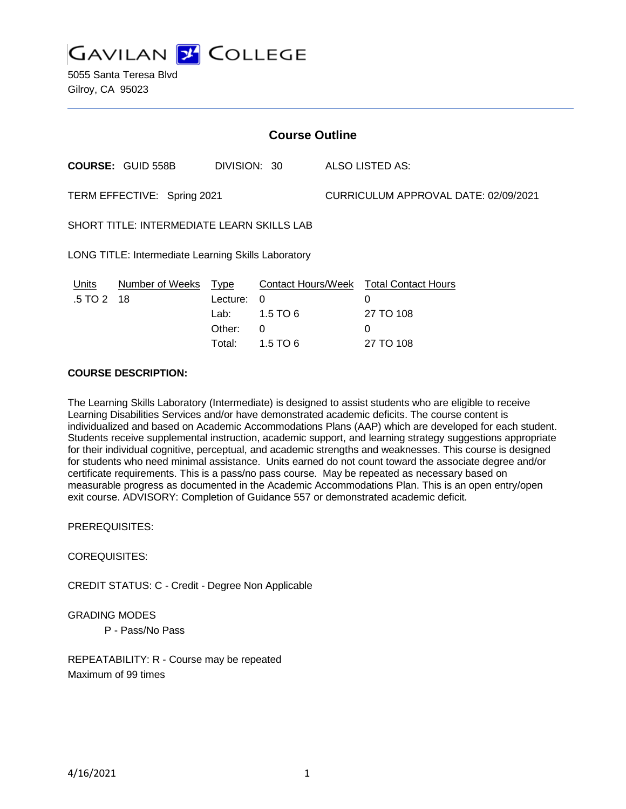

5055 Santa Teresa Blvd Gilroy, CA 95023

| <b>Course Outline</b>                               |                                                                                  |                                                                        |                                                                       |  |
|-----------------------------------------------------|----------------------------------------------------------------------------------|------------------------------------------------------------------------|-----------------------------------------------------------------------|--|
| <b>COURSE: GUID 558B</b>                            |                                                                                  | DIVISION: 30                                                           | ALSO LISTED AS:                                                       |  |
| TERM EFFECTIVE: Spring 2021                         |                                                                                  |                                                                        | CURRICULUM APPROVAL DATE: 02/09/2021                                  |  |
| SHORT TITLE: INTERMEDIATE LEARN SKILLS LAB          |                                                                                  |                                                                        |                                                                       |  |
| LONG TITLE: Intermediate Learning Skills Laboratory |                                                                                  |                                                                        |                                                                       |  |
| Units<br>.5 TO 2<br>-18                             | <b>Number of Weeks</b><br><u>Type</u><br>Lecture:<br>Lab: La<br>Other:<br>Total: | <b>Contact Hours/Week</b><br>0<br>$1.5$ TO 6<br>$\Omega$<br>$1.5$ TO 6 | <b>Total Contact Hours</b><br>0<br>27 TO 108<br>$\Omega$<br>27 TO 108 |  |

## **COURSE DESCRIPTION:**

The Learning Skills Laboratory (Intermediate) is designed to assist students who are eligible to receive Learning Disabilities Services and/or have demonstrated academic deficits. The course content is individualized and based on Academic Accommodations Plans (AAP) which are developed for each student. Students receive supplemental instruction, academic support, and learning strategy suggestions appropriate for their individual cognitive, perceptual, and academic strengths and weaknesses. This course is designed for students who need minimal assistance. Units earned do not count toward the associate degree and/or certificate requirements. This is a pass/no pass course. May be repeated as necessary based on measurable progress as documented in the Academic Accommodations Plan. This is an open entry/open exit course. ADVISORY: Completion of Guidance 557 or demonstrated academic deficit.

PREREQUISITES:

COREQUISITES:

CREDIT STATUS: C - Credit - Degree Non Applicable

#### GRADING MODES

P - Pass/No Pass

REPEATABILITY: R - Course may be repeated Maximum of 99 times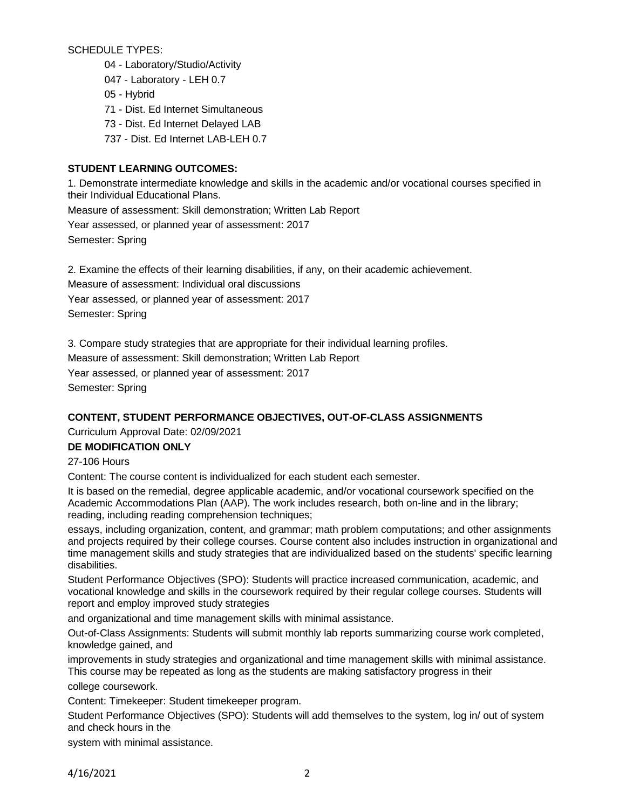SCHEDULE TYPES:

- 04 Laboratory/Studio/Activity
- 047 Laboratory LEH 0.7
- 05 Hybrid
- 71 Dist. Ed Internet Simultaneous
- 73 Dist. Ed Internet Delayed LAB
- 737 Dist. Ed Internet LAB-LEH 0.7

# **STUDENT LEARNING OUTCOMES:**

1. Demonstrate intermediate knowledge and skills in the academic and/or vocational courses specified in their Individual Educational Plans.

Measure of assessment: Skill demonstration; Written Lab Report

Year assessed, or planned year of assessment: 2017

Semester: Spring

2. Examine the effects of their learning disabilities, if any, on their academic achievement.

Measure of assessment: Individual oral discussions

Year assessed, or planned year of assessment: 2017

Semester: Spring

3. Compare study strategies that are appropriate for their individual learning profiles.

Measure of assessment: Skill demonstration; Written Lab Report

Year assessed, or planned year of assessment: 2017 Semester: Spring

# **CONTENT, STUDENT PERFORMANCE OBJECTIVES, OUT-OF-CLASS ASSIGNMENTS**

Curriculum Approval Date: 02/09/2021

## **DE MODIFICATION ONLY**

27-106 Hours

Content: The course content is individualized for each student each semester.

It is based on the remedial, degree applicable academic, and/or vocational coursework specified on the Academic Accommodations Plan (AAP). The work includes research, both on-line and in the library; reading, including reading comprehension techniques;

essays, including organization, content, and grammar; math problem computations; and other assignments and projects required by their college courses. Course content also includes instruction in organizational and time management skills and study strategies that are individualized based on the students' specific learning disabilities.

Student Performance Objectives (SPO): Students will practice increased communication, academic, and vocational knowledge and skills in the coursework required by their regular college courses. Students will report and employ improved study strategies

and organizational and time management skills with minimal assistance.

Out-of-Class Assignments: Students will submit monthly lab reports summarizing course work completed, knowledge gained, and

improvements in study strategies and organizational and time management skills with minimal assistance. This course may be repeated as long as the students are making satisfactory progress in their college coursework.

Content: Timekeeper: Student timekeeper program.

Student Performance Objectives (SPO): Students will add themselves to the system, log in/ out of system and check hours in the

system with minimal assistance.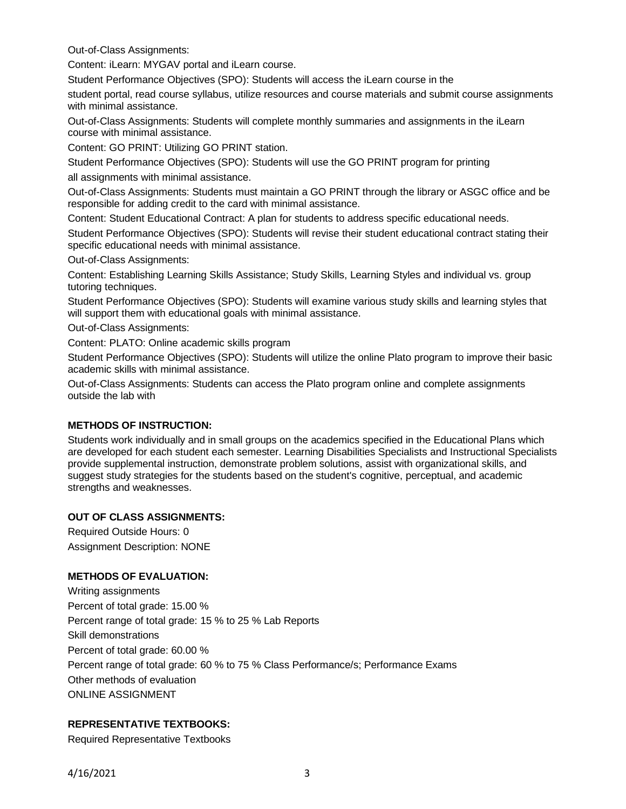Out-of-Class Assignments:

Content: iLearn: MYGAV portal and iLearn course.

Student Performance Objectives (SPO): Students will access the iLearn course in the

student portal, read course syllabus, utilize resources and course materials and submit course assignments with minimal assistance.

Out-of-Class Assignments: Students will complete monthly summaries and assignments in the iLearn course with minimal assistance.

Content: GO PRINT: Utilizing GO PRINT station.

Student Performance Objectives (SPO): Students will use the GO PRINT program for printing all assignments with minimal assistance.

Out-of-Class Assignments: Students must maintain a GO PRINT through the library or ASGC office and be responsible for adding credit to the card with minimal assistance.

Content: Student Educational Contract: A plan for students to address specific educational needs.

Student Performance Objectives (SPO): Students will revise their student educational contract stating their specific educational needs with minimal assistance.

Out-of-Class Assignments:

Content: Establishing Learning Skills Assistance; Study Skills, Learning Styles and individual vs. group tutoring techniques.

Student Performance Objectives (SPO): Students will examine various study skills and learning styles that will support them with educational goals with minimal assistance.

Out-of-Class Assignments:

Content: PLATO: Online academic skills program

Student Performance Objectives (SPO): Students will utilize the online Plato program to improve their basic academic skills with minimal assistance.

Out-of-Class Assignments: Students can access the Plato program online and complete assignments outside the lab with

#### **METHODS OF INSTRUCTION:**

Students work individually and in small groups on the academics specified in the Educational Plans which are developed for each student each semester. Learning Disabilities Specialists and Instructional Specialists provide supplemental instruction, demonstrate problem solutions, assist with organizational skills, and suggest study strategies for the students based on the student's cognitive, perceptual, and academic strengths and weaknesses.

### **OUT OF CLASS ASSIGNMENTS:**

Required Outside Hours: 0 Assignment Description: NONE

#### **METHODS OF EVALUATION:**

Writing assignments Percent of total grade: 15.00 % Percent range of total grade: 15 % to 25 % Lab Reports Skill demonstrations Percent of total grade: 60.00 % Percent range of total grade: 60 % to 75 % Class Performance/s; Performance Exams Other methods of evaluation ONLINE ASSIGNMENT

## **REPRESENTATIVE TEXTBOOKS:**

Required Representative Textbooks

4/16/2021 3